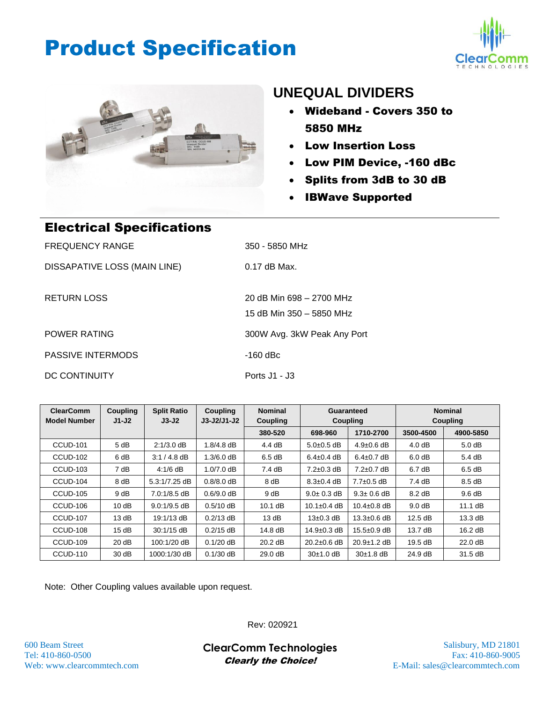## Product Specification





### **UNEQUAL DIVIDERS**

- Wideband Covers 350 to 5850 MHz
- Low Insertion Loss
- Low PIM Device, -160 dBc
- Splits from 3dB to 30 dB
- IBWave Supported

| <b>Electrical Specifications</b> |                                                      |
|----------------------------------|------------------------------------------------------|
| <b>FREQUENCY RANGE</b>           | 350 - 5850 MHz                                       |
| DISSAPATIVE LOSS (MAIN LINE)     | $0.17$ dB Max.                                       |
| <b>RETURN LOSS</b>               | 20 dB Min 698 - 2700 MHz<br>15 dB Min 350 - 5850 MHz |
| <b>POWER RATING</b>              | 300W Avg. 3kW Peak Any Port                          |
| <b>PASSIVE INTERMODS</b>         | $-160$ dBc                                           |
| DC CONTINUITY                    | Ports $J1 - J3$                                      |

**ClearComm Model Number Coupling J1-J2 Split Ratio J3-J2 Coupling J3-J2/J1-J2 Nominal Coupling Guaranteed Coupling Nominal Coupling 380-520 698-960 1710-2700 3500-4500 4900-5850** CCUD-101 | 5 dB | 2:1/3.0 dB | 1.8/4.8 dB | 4.4 dB | 5.0±0.5 dB | 4.9±0.6 dB | 4.0 dB | 5.0 dB <code>CCUD-102 | 6</code> dB  $\,$   $\,$  3:1 / 4.8 dB  $\,$   $\,$  1.3/6.0 dB  $\,$   $\,$  6.5 dB  $\,$   $\,$   $\,$  6.4±0.4 dB  $\,$   $\,$  6.4±0.7 dB  $\,$   $\,$  6.0 dB  $\,$   $\,$  5.4 dB CCUD-103 | 7 dB | 4:1/6 dB | 1.0/7.0 dB | 7.4 dB | 7.2±0.3 dB | 7.2±0.7 dB | 6.7 dB | 6.5 dB CCUD-104 | 8 dB | 5.3:1/7.25 dB | 0.8/8.0 dB | 8 dB | 8.3±0.4 dB | 7.7±0.5 dB | 7.4 dB | 8.5 dB CCUD-105 | 9 dB | 7.0:1/8.5 dB | 0.6/9.0 dB | 9 dB | 9.0± 0.3 dB | 9.3± 0.6 dB | 8.2 dB | 9.6 dB CCUD-106 | 10 dB | 9.0:1/9.5 dB | 0.5/10 dB | 10.1 dB | 10.1±0.4 dB | 10.4±0.8 dB | 9.0 dB | 11.1 dB CCUD-107 13 dB 19:1/13 dB 0.2/13 dB 13 dB 13±0.3 dB 13.3±0.6 dB 12.5 dB 13.3 dB CCUD-108 15 dB 30:1/15 dB 0.2/15 dB 14.8 dB 14.9±0.3 dB 15.5±0.9 dB 13.7 dB 16.2 dB CCUD-109 | 20 dB | 100:1/20 dB | 0.1/20 dB | 20.2 dB | 20.2±0.6 dB | 20.9±1.2 dB | 19.5 dB | 22.0 dB CCUD-110 | 30 dB | 1000:1/30 dB | 0.1/30 dB | 29.0 dB | 30±1.0 dB | 30±1.8 dB | 24.9 dB | 31.5 dB

Note: Other Coupling values available upon request.

Rev: 020921

600 Beam Street Salisbury, MD 21801 **ClearComm Technologies** Tel: 410-860-0500 Fax: 410-860-9005 Clearly the Choice!